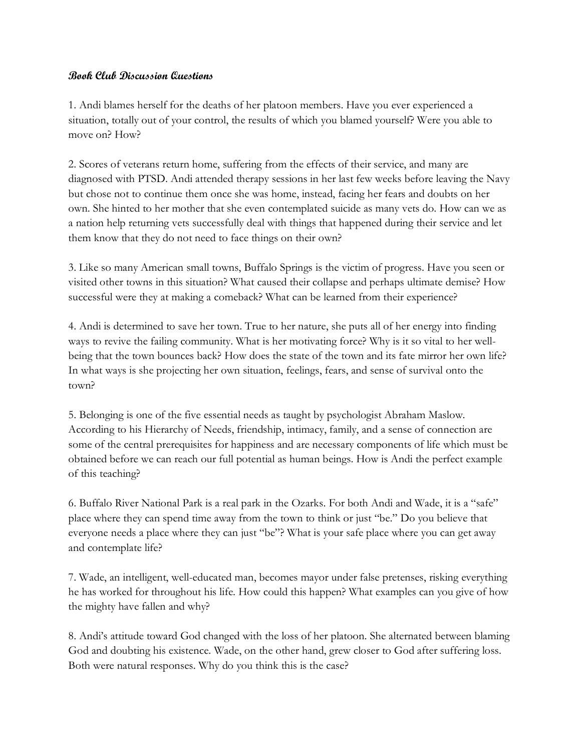## **Book Club Discussion Questions**

1. Andi blames herself for the deaths of her platoon members. Have you ever experienced a situation, totally out of your control, the results of which you blamed yourself? Were you able to move on? How?

2. Scores of veterans return home, suffering from the effects of their service, and many are diagnosed with PTSD. Andi attended therapy sessions in her last few weeks before leaving the Navy but chose not to continue them once she was home, instead, facing her fears and doubts on her own. She hinted to her mother that she even contemplated suicide as many vets do. How can we as a nation help returning vets successfully deal with things that happened during their service and let them know that they do not need to face things on their own?

3. Like so many American small towns, Buffalo Springs is the victim of progress. Have you seen or visited other towns in this situation? What caused their collapse and perhaps ultimate demise? How successful were they at making a comeback? What can be learned from their experience?

4. Andi is determined to save her town. True to her nature, she puts all of her energy into finding ways to revive the failing community. What is her motivating force? Why is it so vital to her wellbeing that the town bounces back? How does the state of the town and its fate mirror her own life? In what ways is she projecting her own situation, feelings, fears, and sense of survival onto the town?

5. Belonging is one of the five essential needs as taught by psychologist Abraham Maslow. According to his Hierarchy of Needs, friendship, intimacy, family, and a sense of connection are some of the central prerequisites for happiness and are necessary components of life which must be obtained before we can reach our full potential as human beings. How is Andi the perfect example of this teaching?

6. Buffalo River National Park is a real park in the Ozarks. For both Andi and Wade, it is a "safe" place where they can spend time away from the town to think or just "be." Do you believe that everyone needs a place where they can just "be"? What is your safe place where you can get away and contemplate life?

7. Wade, an intelligent, well-educated man, becomes mayor under false pretenses, risking everything he has worked for throughout his life. How could this happen? What examples can you give of how the mighty have fallen and why?

8. Andi's attitude toward God changed with the loss of her platoon. She alternated between blaming God and doubting his existence. Wade, on the other hand, grew closer to God after suffering loss. Both were natural responses. Why do you think this is the case?